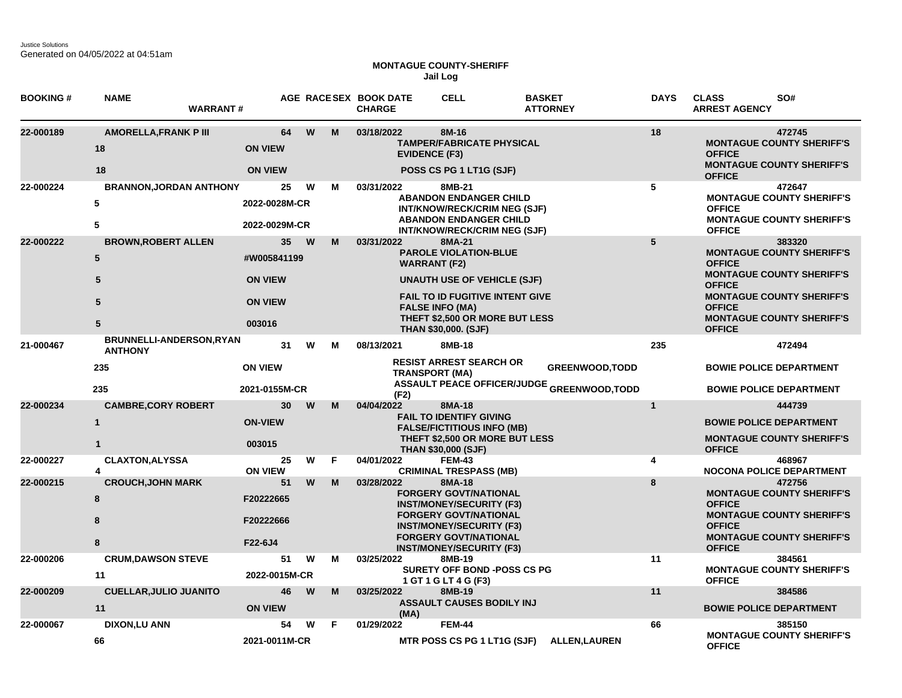Justice Solutions Generated on 04/05/2022 at 04:51am

## **MONTAGUE COUNTY-SHERIFF Jail Log**

| <b>BOOKING#</b> | <b>NAME</b><br><b>WARRANT#</b>                                 |                                                                 |        | AGE RACESEX BOOK DATE<br><b>CHARGE</b> | <b>CELL</b>                                                                                                                                                                                                                              | <b>BASKET</b><br><b>ATTORNEY</b>                                            | <b>DAYS</b>     | <b>CLASS</b><br>SO#<br><b>ARREST AGENCY</b>                                                                                                                                                                                |
|-----------------|----------------------------------------------------------------|-----------------------------------------------------------------|--------|----------------------------------------|------------------------------------------------------------------------------------------------------------------------------------------------------------------------------------------------------------------------------------------|-----------------------------------------------------------------------------|-----------------|----------------------------------------------------------------------------------------------------------------------------------------------------------------------------------------------------------------------------|
| 22-000189       | <b>AMORELLA, FRANK P III</b><br>18<br>18                       | 64<br><b>ON VIEW</b><br><b>ON VIEW</b>                          | W<br>M | 03/18/2022                             | 8M-16<br><b>TAMPER/FABRICATE PHYSICAL</b><br><b>EVIDENCE (F3)</b><br>POSS CS PG 1 LT1G (SJF)                                                                                                                                             |                                                                             | 18              | 472745<br><b>MONTAGUE COUNTY SHERIFF'S</b><br><b>OFFICE</b><br><b>MONTAGUE COUNTY SHERIFF'S</b><br><b>OFFICE</b>                                                                                                           |
| 22-000224       | <b>BRANNON, JORDAN ANTHONY</b><br>5<br>5                       | 25<br>2022-0028M-CR<br>2022-0029M-CR                            | W<br>м | 03/31/2022                             | 8MB-21<br><b>ABANDON ENDANGER CHILD</b><br>INT/KNOW/RECK/CRIM NEG (SJF)<br><b>ABANDON ENDANGER CHILD</b><br>INT/KNOW/RECK/CRIM NEG (SJF)                                                                                                 |                                                                             | 5               | 472647<br><b>MONTAGUE COUNTY SHERIFF'S</b><br><b>OFFICE</b><br><b>MONTAGUE COUNTY SHERIFF'S</b><br><b>OFFICE</b>                                                                                                           |
| 22-000222       | <b>BROWN, ROBERT ALLEN</b><br>5<br>5<br>5<br>$5\phantom{.0}$   | 35<br>#W005841199<br><b>ON VIEW</b><br><b>ON VIEW</b><br>003016 | W<br>м | 03/31/2022                             | 8MA-21<br><b>PAROLE VIOLATION-BLUE</b><br><b>WARRANT (F2)</b><br><b>UNAUTH USE OF VEHICLE (SJF)</b><br><b>FAIL TO ID FUGITIVE INTENT GIVE</b><br><b>FALSE INFO (MA)</b><br>THEFT \$2,500 OR MORE BUT LESS<br><b>THAN \$30,000. (SJF)</b> |                                                                             | $5\phantom{.0}$ | 383320<br><b>MONTAGUE COUNTY SHERIFF'S</b><br><b>OFFICE</b><br><b>MONTAGUE COUNTY SHERIFF'S</b><br><b>OFFICE</b><br><b>MONTAGUE COUNTY SHERIFF'S</b><br><b>OFFICE</b><br><b>MONTAGUE COUNTY SHERIFF'S</b><br><b>OFFICE</b> |
| 21-000467       | <b>BRUNNELLI-ANDERSON,RYAN</b><br><b>ANTHONY</b><br>235<br>235 | 31<br><b>ON VIEW</b><br>2021-0155M-CR                           | W<br>м | 08/13/2021<br>(F2)                     | 8MB-18<br><b>RESIST ARREST SEARCH OR</b><br><b>TRANSPORT (MA)</b>                                                                                                                                                                        | <b>GREENWOOD, TODD</b><br><b>ASSAULT PEACE OFFICER/JUDGE GREENWOOD,TODD</b> | 235             | 472494<br><b>BOWIE POLICE DEPARTMENT</b><br><b>BOWIE POLICE DEPARTMENT</b>                                                                                                                                                 |
| 22-000234       | <b>CAMBRE, CORY ROBERT</b><br>$\mathbf{1}$<br>$\mathbf{1}$     | 30<br><b>ON-VIEW</b><br>003015                                  | W<br>м | 04/04/2022                             | 8MA-18<br><b>FAIL TO IDENTIFY GIVING</b><br><b>FALSE/FICTITIOUS INFO (MB)</b><br><b>THEFT \$2,500 OR MORE BUT LESS</b><br><b>THAN \$30,000 (SJF)</b>                                                                                     |                                                                             | $\mathbf{1}$    | 444739<br><b>BOWIE POLICE DEPARTMENT</b><br><b>MONTAGUE COUNTY SHERIFF'S</b><br><b>OFFICE</b>                                                                                                                              |
| 22-000227       | <b>CLAXTON, ALYSSA</b><br>4                                    | 25<br><b>ON VIEW</b>                                            | W<br>F | 04/01/2022                             | <b>FEM-43</b><br><b>CRIMINAL TRESPASS (MB)</b>                                                                                                                                                                                           |                                                                             | 4               | 468967<br><b>NOCONA POLICE DEPARTMENT</b>                                                                                                                                                                                  |
| 22-000215       | <b>CROUCH, JOHN MARK</b><br>8<br>8<br>8                        | 51<br>F20222665<br>F20222666<br>F22-6J4                         | W<br>м | 03/28/2022                             | 8MA-18<br><b>FORGERY GOVT/NATIONAL</b><br><b>INST/MONEY/SECURITY (F3)</b><br><b>FORGERY GOVT/NATIONAL</b><br><b>INST/MONEY/SECURITY (F3)</b><br><b>FORGERY GOVT/NATIONAL</b><br><b>INST/MONEY/SECURITY (F3)</b>                          |                                                                             | 8               | 472756<br><b>MONTAGUE COUNTY SHERIFF'S</b><br><b>OFFICE</b><br><b>MONTAGUE COUNTY SHERIFF'S</b><br><b>OFFICE</b><br><b>MONTAGUE COUNTY SHERIFF'S</b><br><b>OFFICE</b>                                                      |
| 22-000206       | <b>CRUM, DAWSON STEVE</b><br>11                                | 51<br>2022-0015M-CR                                             | W<br>м | 03/25/2022                             | 8MB-19<br><b>SURETY OFF BOND -POSS CS PG</b><br>1 GT 1 G LT 4 G (F3)                                                                                                                                                                     |                                                                             | 11              | 384561<br><b>MONTAGUE COUNTY SHERIFF'S</b><br><b>OFFICE</b>                                                                                                                                                                |
| 22-000209       | <b>CUELLAR, JULIO JUANITO</b><br>11                            | 46<br><b>ON VIEW</b>                                            | M<br>W | 03/25/2022<br>(MA)                     | 8MB-19<br><b>ASSAULT CAUSES BODILY INJ</b>                                                                                                                                                                                               |                                                                             | 11              | 384586<br><b>BOWIE POLICE DEPARTMENT</b>                                                                                                                                                                                   |
| 22-000067       | <b>DIXON,LU ANN</b><br>66                                      | 54<br>2021-0011M-CR                                             | W<br>F | 01/29/2022                             | <b>FEM-44</b><br>MTR POSS CS PG 1 LT1G (SJF)                                                                                                                                                                                             | <b>ALLEN, LAUREN</b>                                                        | 66              | 385150<br><b>MONTAGUE COUNTY SHERIFF'S</b><br><b>OFFICE</b>                                                                                                                                                                |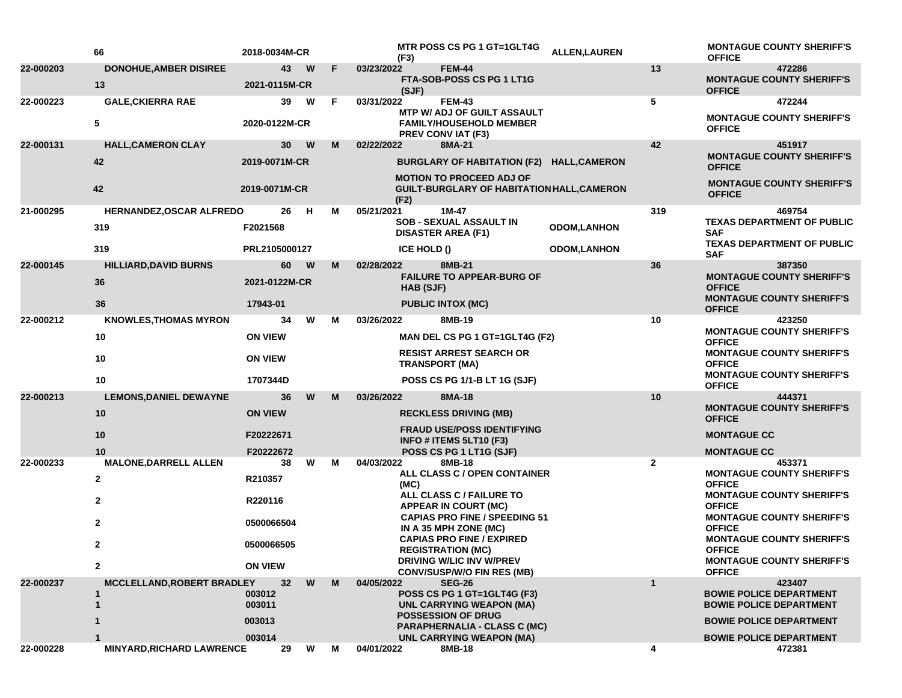|           | 66                            | 2018-0034M-CR    |   |    | (F3)        | MTR POSS CS PG 1 GT=1GLT4G                                                                       | <b>ALLEN, LAUREN</b> |                | <b>MONTAGUE COUNTY SHERIFF'S</b><br><b>OFFICE</b>                                     |
|-----------|-------------------------------|------------------|---|----|-------------|--------------------------------------------------------------------------------------------------|----------------------|----------------|---------------------------------------------------------------------------------------|
| 22-000203 | <b>DONOHUE, AMBER DISIREE</b> | 43               | W | F  | 03/23/2022  | <b>FEM-44</b>                                                                                    |                      | 13             | 472286                                                                                |
|           | 13                            | 2021-0115M-CR    |   |    | (SJF)       | FTA-SOB-POSS CS PG 1 LT1G                                                                        |                      |                | <b>MONTAGUE COUNTY SHERIFF'S</b><br><b>OFFICE</b>                                     |
| 22-000223 | <b>GALE, CKIERRA RAE</b>      | 39               | W | F. | 03/31/2022  | <b>FEM-43</b>                                                                                    |                      | 5              | 472244                                                                                |
|           | 5                             | 2020-0122M-CR    |   |    |             | <b>MTP W/ ADJ OF GUILT ASSAULT</b><br><b>FAMILY/HOUSEHOLD MEMBER</b><br><b>PREV CONVIAT (F3)</b> |                      |                | <b>MONTAGUE COUNTY SHERIFF'S</b><br><b>OFFICE</b>                                     |
| 22-000131 | <b>HALL, CAMERON CLAY</b>     | 30               | W | M  | 02/22/2022  | 8MA-21                                                                                           |                      | 42             | 451917                                                                                |
|           | 42                            | 2019-0071M-CR    |   |    |             | BURGLARY OF HABITATION (F2) HALL,CAMERON<br><b>MOTION TO PROCEED ADJ OF</b>                      |                      |                | <b>MONTAGUE COUNTY SHERIFF'S</b><br><b>OFFICE</b>                                     |
|           | 42                            | 2019-0071M-CR    |   |    | (F2)        | <b>GUILT-BURGLARY OF HABITATION HALL, CAMERON</b>                                                |                      |                | <b>MONTAGUE COUNTY SHERIFF'S</b><br><b>OFFICE</b>                                     |
| 21-000295 | HERNANDEZ, OSCAR ALFREDO      | 26               | H | М  | 05/21/2021  | $1M-47$                                                                                          |                      | 319            | 469754                                                                                |
|           | 319                           | F2021568         |   |    |             | <b>SOB - SEXUAL ASSAULT IN</b><br><b>DISASTER AREA (F1)</b>                                      | <b>ODOM,LANHON</b>   |                | <b>TEXAS DEPARTMENT OF PUBLIC</b><br><b>SAF</b>                                       |
|           | 319                           | PRL2105000127    |   |    | ICE HOLD () |                                                                                                  | <b>ODOM,LANHON</b>   |                | <b>TEXAS DEPARTMENT OF PUBLIC</b><br><b>SAF</b>                                       |
| 22-000145 | <b>HILLIARD, DAVID BURNS</b>  | 60               | W | M  | 02/28/2022  | 8MB-21                                                                                           |                      | 36             | 387350                                                                                |
|           | 36                            | 2021-0122M-CR    |   |    | HAB (SJF)   | <b>FAILURE TO APPEAR-BURG OF</b>                                                                 |                      |                | <b>MONTAGUE COUNTY SHERIFF'S</b><br><b>OFFICE</b>                                     |
|           | 36                            | 17943-01         |   |    |             | <b>PUBLIC INTOX (MC)</b>                                                                         |                      |                | <b>MONTAGUE COUNTY SHERIFF'S</b><br><b>OFFICE</b>                                     |
| 22-000212 | <b>KNOWLES, THOMAS MYRON</b>  | 34               | W | М  | 03/26/2022  | 8MB-19                                                                                           |                      | 10             | 423250                                                                                |
|           | 10                            | <b>ON VIEW</b>   |   |    |             | MAN DEL CS PG 1 GT=1GLT4G (F2)                                                                   |                      |                | <b>MONTAGUE COUNTY SHERIFF'S</b><br><b>OFFICE</b>                                     |
|           | 10                            | <b>ON VIEW</b>   |   |    |             | <b>RESIST ARREST SEARCH OR</b><br><b>TRANSPORT (MA)</b>                                          |                      |                | <b>MONTAGUE COUNTY SHERIFF'S</b><br><b>OFFICE</b><br><b>MONTAGUE COUNTY SHERIFF'S</b> |
|           | 10                            | 1707344D         |   |    |             | POSS CS PG 1/1-B LT 1G (SJF)                                                                     |                      |                | <b>OFFICE</b>                                                                         |
| 22-000213 | <b>LEMONS, DANIEL DEWAYNE</b> | 36               | W | м  | 03/26/2022  | 8MA-18                                                                                           |                      | 10             | 444371<br><b>MONTAGUE COUNTY SHERIFF'S</b>                                            |
|           | 10                            | <b>ON VIEW</b>   |   |    |             | <b>RECKLESS DRIVING (MB)</b>                                                                     |                      |                | <b>OFFICE</b>                                                                         |
|           | 10                            | F20222671        |   |    |             | <b>FRAUD USE/POSS IDENTIFYING</b><br>INFO # ITEMS 5LT10 (F3)                                     |                      |                | <b>MONTAGUE CC</b>                                                                    |
|           | 10                            | F20222672        |   |    |             | POSS CS PG 1 LT1G (SJF)                                                                          |                      |                | <b>MONTAGUE CC</b>                                                                    |
| 22-000233 | <b>MALONE, DARRELL ALLEN</b>  | 38               | W | М  | 04/03/2022  | 8MB-18<br>ALL CLASS C / OPEN CONTAINER                                                           |                      | $\overline{2}$ | 453371<br><b>MONTAGUE COUNTY SHERIFF'S</b>                                            |
|           | $\mathbf{2}$                  | R210357          |   |    | (MC)        |                                                                                                  |                      |                | <b>OFFICE</b>                                                                         |
|           | $\mathbf{2}$                  | R220116          |   |    |             | ALL CLASS C / FAILURE TO<br><b>APPEAR IN COURT (MC)</b>                                          |                      |                | <b>MONTAGUE COUNTY SHERIFF'S</b><br><b>OFFICE</b>                                     |
|           | $\mathbf{2}$                  | 0500066504       |   |    |             | <b>CAPIAS PRO FINE / SPEEDING 51</b><br>IN A 35 MPH ZONE (MC)                                    |                      |                | <b>MONTAGUE COUNTY SHERIFF'S</b><br><b>OFFICE</b>                                     |
|           | $\mathbf{2}$                  | 0500066505       |   |    |             | <b>CAPIAS PRO FINE / EXPIRED</b><br><b>REGISTRATION (MC)</b>                                     |                      |                | <b>MONTAGUE COUNTY SHERIFF'S</b><br><b>OFFICE</b>                                     |
|           | $\mathbf{2}$                  | <b>ON VIEW</b>   |   |    |             | DRIVING W/LIC INV W/PREV<br><b>CONV/SUSP/W/O FIN RES (MB)</b>                                    |                      |                | <b>MONTAGUE COUNTY SHERIFF'S</b><br><b>OFFICE</b>                                     |
| 22-000237 | MCCLELLAND, ROBERT BRADLEY    | 32               | W | м  | 04/05/2022  | <b>SEG-26</b>                                                                                    |                      | $\mathbf{1}$   | 423407                                                                                |
|           | 1<br>$\mathbf 1$              | 003012<br>003011 |   |    |             | POSS CS PG 1 GT=1GLT4G (F3)<br>UNL CARRYING WEAPON (MA)                                          |                      |                | <b>BOWIE POLICE DEPARTMENT</b><br><b>BOWIE POLICE DEPARTMENT</b>                      |
|           |                               | 003013           |   |    |             | <b>POSSESSION OF DRUG</b><br><b>PARAPHERNALIA - CLASS C (MC)</b>                                 |                      |                | <b>BOWIE POLICE DEPARTMENT</b>                                                        |
|           |                               | 003014           |   |    |             | UNL CARRYING WEAPON (MA)                                                                         |                      |                | <b>BOWIE POLICE DEPARTMENT</b>                                                        |
| 22-000228 | MINYARD, RICHARD LAWRENCE     | 29               | W | М  | 04/01/2022  | 8MB-18                                                                                           |                      | 4              | 472381                                                                                |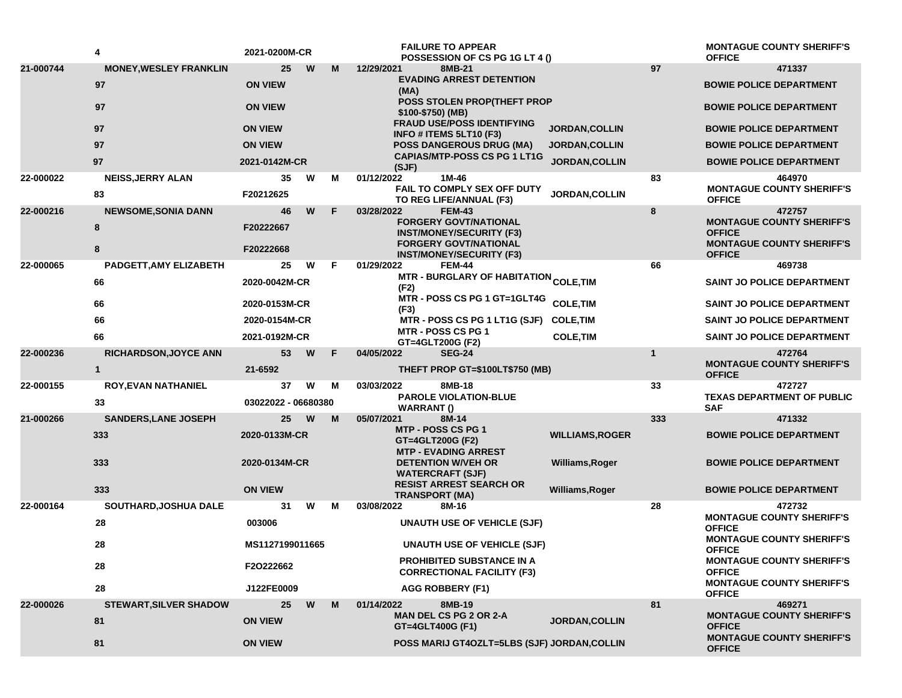|           | 4                             | 2021-0200M-CR       |   | <b>FAILURE TO APPEAR</b><br>POSSESSION OF CS PG 1G LT 4 ()                   |                        |     | <b>MONTAGUE COUNTY SHERIFF'S</b><br><b>OFFICE</b> |
|-----------|-------------------------------|---------------------|---|------------------------------------------------------------------------------|------------------------|-----|---------------------------------------------------|
| 21-000744 | <b>MONEY, WESLEY FRANKLIN</b> | 25<br>W             | М | 12/29/2021<br>8MB-21                                                         |                        | 97  | 471337                                            |
|           | 97                            | <b>ON VIEW</b>      |   | <b>EVADING ARREST DETENTION</b><br>(MA)                                      |                        |     | <b>BOWIE POLICE DEPARTMENT</b>                    |
|           | 97                            | <b>ON VIEW</b>      |   | <b>POSS STOLEN PROP(THEFT PROP</b><br>\$100-\$750) (MB)                      |                        |     | <b>BOWIE POLICE DEPARTMENT</b>                    |
|           | 97                            | <b>ON VIEW</b>      |   | <b>FRAUD USE/POSS IDENTIFYING</b><br>INFO # ITEMS 5LT10 (F3)                 | JORDAN, COLLIN         |     | <b>BOWIE POLICE DEPARTMENT</b>                    |
|           | 97                            | <b>ON VIEW</b>      |   | <b>POSS DANGEROUS DRUG (MA)</b>                                              | <b>JORDAN,COLLIN</b>   |     | <b>BOWIE POLICE DEPARTMENT</b>                    |
|           | 97                            | 2021-0142M-CR       |   | <b>CAPIAS/MTP-POSS CS PG 1 LT1G</b><br>(SJF)                                 | <b>JORDAN, COLLIN</b>  |     | <b>BOWIE POLICE DEPARTMENT</b>                    |
| 22-000022 | <b>NEISS, JERRY ALAN</b>      | 35<br>W             | м | 1M-46<br>01/12/2022                                                          |                        | 83  | 464970                                            |
|           | 83                            | F20212625           |   | <b>FAIL TO COMPLY SEX OFF DUTY</b><br>TO REG LIFE/ANNUAL (F3)                | <b>JORDAN, COLLIN</b>  |     | <b>MONTAGUE COUNTY SHERIFF'S</b><br><b>OFFICE</b> |
| 22-000216 | <b>NEWSOME, SONIA DANN</b>    | W<br>46             | F | 03/28/2022<br><b>FEM-43</b>                                                  |                        | 8   | 472757                                            |
|           | 8                             | F20222667           |   | <b>FORGERY GOVT/NATIONAL</b><br><b>INST/MONEY/SECURITY (F3)</b>              |                        |     | <b>MONTAGUE COUNTY SHERIFF'S</b><br><b>OFFICE</b> |
|           | 8                             | F20222668           |   | <b>FORGERY GOVT/NATIONAL</b><br><b>INST/MONEY/SECURITY (F3)</b>              |                        |     | <b>MONTAGUE COUNTY SHERIFF'S</b><br><b>OFFICE</b> |
| 22-000065 | PADGETT, AMY ELIZABETH        | 25<br>W             | F | <b>FEM-44</b><br>01/29/2022                                                  |                        | 66  | 469738                                            |
|           | 66                            | 2020-0042M-CR       |   | MTR - BURGLARY OF HABITATION <sub>COLE,</sub> TIM<br>(F2)                    |                        |     | <b>SAINT JO POLICE DEPARTMENT</b>                 |
|           | 66                            | 2020-0153M-CR       |   | MTR - POSS CS PG 1 GT=1GLT4G<br>(F3)                                         | <b>COLE, TIM</b>       |     | SAINT JO POLICE DEPARTMENT                        |
|           | 66                            | 2020-0154M-CR       |   | MTR - POSS CS PG 1 LT1G (SJF)                                                | <b>COLE,TIM</b>        |     | <b>SAINT JO POLICE DEPARTMENT</b>                 |
|           | 66                            | 2021-0192M-CR       |   | <b>MTR - POSS CS PG 1</b><br>GT=4GLT200G (F2)                                | <b>COLE, TIM</b>       |     | <b>SAINT JO POLICE DEPARTMENT</b>                 |
| 22-000236 | <b>RICHARDSON, JOYCE ANN</b>  | 53<br>W             | F | 04/05/2022<br><b>SEG-24</b>                                                  | $\mathbf{1}$           |     | 472764<br><b>MONTAGUE COUNTY SHERIFF'S</b>        |
|           | $\mathbf{1}$                  | 21-6592             |   | THEFT PROP GT=\$100LT\$750 (MB)                                              |                        |     | <b>OFFICE</b>                                     |
| 22-000155 | <b>ROY, EVAN NATHANIEL</b>    | W<br>37             | м | 8MB-18<br>03/03/2022<br><b>PAROLE VIOLATION-BLUE</b>                         |                        | 33  | 472727<br><b>TEXAS DEPARTMENT OF PUBLIC</b>       |
|           | 33                            | 03022022 - 06680380 |   | <b>WARRANT()</b>                                                             |                        |     | <b>SAF</b>                                        |
| 21-000266 | <b>SANDERS, LANE JOSEPH</b>   | 25<br>W             | M | 05/07/2021<br>8M-14                                                          |                        | 333 | 471332                                            |
|           | 333                           | 2020-0133M-CR       |   | <b>MTP - POSS CS PG 1</b><br>GT=4GLT200G (F2)<br><b>MTP - EVADING ARREST</b> | <b>WILLIAMS, ROGER</b> |     | <b>BOWIE POLICE DEPARTMENT</b>                    |
|           | 333                           | 2020-0134M-CR       |   | <b>DETENTION W/VEH OR</b><br><b>WATERCRAFT (SJF)</b>                         | Williams, Roger        |     | <b>BOWIE POLICE DEPARTMENT</b>                    |
|           | 333                           | <b>ON VIEW</b>      |   | <b>RESIST ARREST SEARCH OR</b><br><b>TRANSPORT (MA)</b>                      | <b>Williams, Roger</b> |     | <b>BOWIE POLICE DEPARTMENT</b>                    |
| 22-000164 | SOUTHARD, JOSHUA DALE         | 31<br>W             | м | 03/08/2022<br>8M-16                                                          |                        | 28  | 472732                                            |
|           | 28                            | 003006              |   | <b>UNAUTH USE OF VEHICLE (SJF)</b>                                           |                        |     | <b>MONTAGUE COUNTY SHERIFF'S</b><br><b>OFFICE</b> |
|           | 28                            | MS1127199011665     |   | <b>UNAUTH USE OF VEHICLE (SJF)</b>                                           |                        |     | <b>MONTAGUE COUNTY SHERIFF'S</b><br><b>OFFICE</b> |
|           | 28                            | F2O222662           |   | <b>PROHIBITED SUBSTANCE IN A</b><br><b>CORRECTIONAL FACILITY (F3)</b>        |                        |     | <b>MONTAGUE COUNTY SHERIFF'S</b><br><b>OFFICE</b> |
|           | 28                            | J122FE0009          |   | AGG ROBBERY (F1)                                                             |                        |     | <b>MONTAGUE COUNTY SHERIFF'S</b><br><b>OFFICE</b> |
| 22-000026 | <b>STEWART, SILVER SHADOW</b> | 25<br>W             | M | 01/14/2022<br>8MB-19                                                         |                        | 81  | 469271                                            |
|           | 81                            | <b>ON VIEW</b>      |   | <b>MAN DEL CS PG 2 OR 2-A</b><br>GT=4GLT400G (F1)                            | <b>JORDAN, COLLIN</b>  |     | <b>MONTAGUE COUNTY SHERIFF'S</b><br><b>OFFICE</b> |
|           | 81                            | <b>ON VIEW</b>      |   | POSS MARIJ GT4OZLT=5LBS (SJF) JORDAN, COLLIN                                 |                        |     | <b>MONTAGUE COUNTY SHERIFF'S</b><br><b>OFFICE</b> |